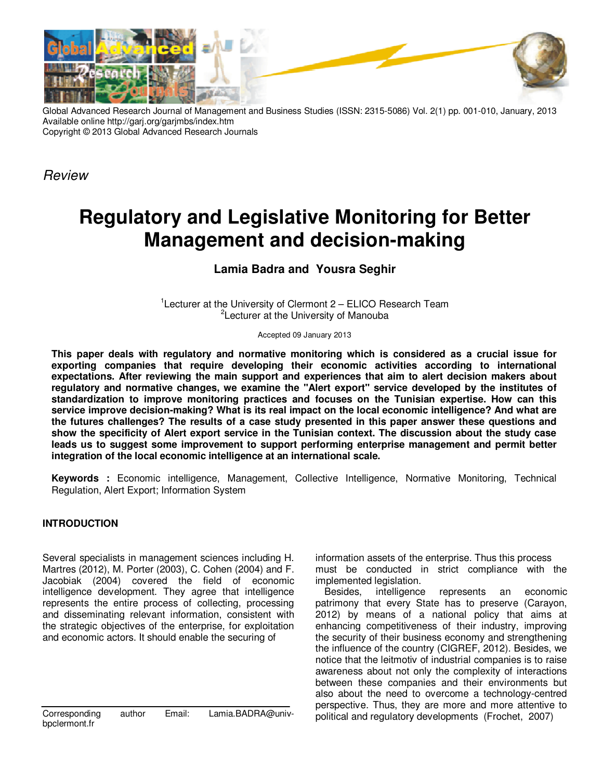

Global Advanced Research Journal of Management and Business Studies (ISSN: 2315-5086) Vol. 2(1) pp. 001-010, January, 2013 Available online http://garj.org/garjmbs/index.htm Copyright © 2013 Global Advanced Research Journals

Review

# **Regulatory and Legislative Monitoring for Better Management and decision-making**

# **Lamia Badra and Yousra Seghir**

<sup>1</sup>Lecturer at the University of Clermont 2 – ELICO Research Team <sup>2</sup>Lecturer at the University of Manouba

Accepted 09 January 2013

**This paper deals with regulatory and normative monitoring which is considered as a crucial issue for exporting companies that require developing their economic activities according to international expectations. After reviewing the main support and experiences that aim to alert decision makers about regulatory and normative changes, we examine the "Alert export" service developed by the institutes of standardization to improve monitoring practices and focuses on the Tunisian expertise. How can this service improve decision-making? What is its real impact on the local economic intelligence? And what are the futures challenges? The results of a case study presented in this paper answer these questions and show the specificity of Alert export service in the Tunisian context. The discussion about the study case leads us to suggest some improvement to support performing enterprise management and permit better integration of the local economic intelligence at an international scale.** 

**Keywords :** Economic intelligence, Management, Collective Intelligence, Normative Monitoring, Technical Regulation, Alert Export; Information System

## **INTRODUCTION**

Several specialists in management sciences including H. Martres (2012), M. Porter (2003), C. Cohen (2004) and F. Jacobiak (2004) covered the field of economic intelligence development. They agree that intelligence represents the entire process of collecting, processing and disseminating relevant information, consistent with the strategic objectives of the enterprise, for exploitation and economic actors. It should enable the securing of

Corresponding author Email: Lamia.BADRA@univbpclermont.fr

information assets of the enterprise. Thus this process must be conducted in strict compliance with the implemented legislation.

Besides, intelligence represents an economic patrimony that every State has to preserve (Carayon, 2012) by means of a national policy that aims at enhancing competitiveness of their industry, improving the security of their business economy and strengthening the influence of the country (CIGREF, 2012). Besides, we notice that the leitmotiv of industrial companies is to raise awareness about not only the complexity of interactions between these companies and their environments but also about the need to overcome a technology-centred perspective. Thus, they are more and more attentive to political and regulatory developments (Frochet, 2007)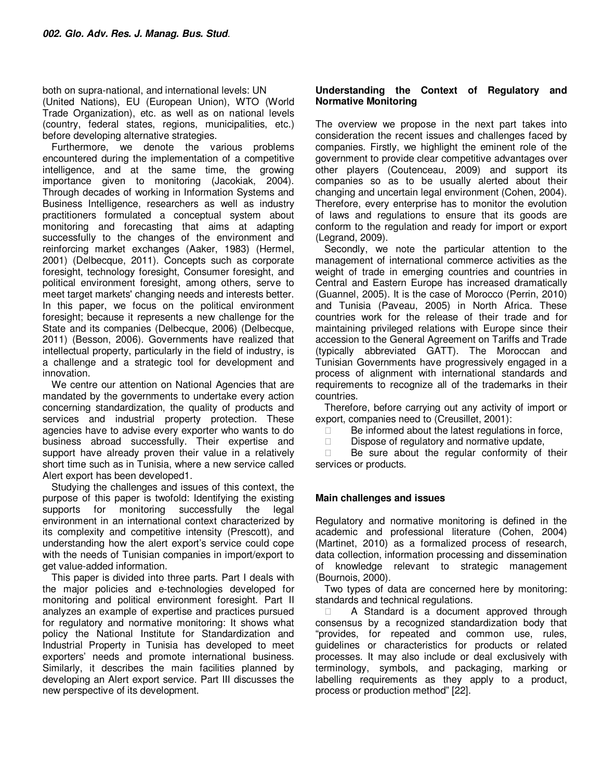both on supra-national, and international levels: UN (United Nations), EU (European Union), WTO (World Trade Organization), etc. as well as on national levels (country, federal states, regions, municipalities, etc.) before developing alternative strategies.

Furthermore, we denote the various problems encountered during the implementation of a competitive intelligence, and at the same time, the growing importance given to monitoring (Jacokiak, 2004). Through decades of working in Information Systems and Business Intelligence, researchers as well as industry practitioners formulated a conceptual system about monitoring and forecasting that aims at adapting successfully to the changes of the environment and reinforcing market exchanges (Aaker, 1983) (Hermel, 2001) (Delbecque, 2011). Concepts such as corporate foresight, technology foresight, Consumer foresight, and political environment foresight, among others, serve to meet target markets' changing needs and interests better. In this paper, we focus on the political environment foresight; because it represents a new challenge for the State and its companies (Delbecque, 2006) (Delbecque, 2011) (Besson, 2006). Governments have realized that intellectual property, particularly in the field of industry, is a challenge and a strategic tool for development and innovation.

We centre our attention on National Agencies that are mandated by the governments to undertake every action concerning standardization, the quality of products and services and industrial property protection. These agencies have to advise every exporter who wants to do business abroad successfully. Their expertise and support have already proven their value in a relatively short time such as in Tunisia, where a new service called Alert export has been developed1.

Studying the challenges and issues of this context, the purpose of this paper is twofold: Identifying the existing supports for monitoring successfully the legal environment in an international context characterized by its complexity and competitive intensity (Prescott), and understanding how the alert export's service could cope with the needs of Tunisian companies in import/export to get value-added information.

This paper is divided into three parts. Part I deals with the major policies and e-technologies developed for monitoring and political environment foresight. Part II analyzes an example of expertise and practices pursued for regulatory and normative monitoring: It shows what policy the National Institute for Standardization and Industrial Property in Tunisia has developed to meet exporters' needs and promote international business. Similarly, it describes the main facilities planned by developing an Alert export service. Part III discusses the new perspective of its development.

## **Understanding the Context of Regulatory and Normative Monitoring**

The overview we propose in the next part takes into consideration the recent issues and challenges faced by companies. Firstly, we highlight the eminent role of the government to provide clear competitive advantages over other players (Coutenceau, 2009) and support its companies so as to be usually alerted about their changing and uncertain legal environment (Cohen, 2004). Therefore, every enterprise has to monitor the evolution of laws and regulations to ensure that its goods are conform to the regulation and ready for import or export (Legrand, 2009).

Secondly, we note the particular attention to the management of international commerce activities as the weight of trade in emerging countries and countries in Central and Eastern Europe has increased dramatically (Guannel, 2005). It is the case of Morocco (Perrin, 2010) and Tunisia (Paveau, 2005) in North Africa. These countries work for the release of their trade and for maintaining privileged relations with Europe since their accession to the General Agreement on Tariffs and Trade (typically abbreviated GATT). The Moroccan and Tunisian Governments have progressively engaged in a process of alignment with international standards and requirements to recognize all of the trademarks in their countries.

Therefore, before carrying out any activity of import or export, companies need to (Creusillet, 2001):

Be informed about the latest regulations in force,

Dispose of regulatory and normative update,

 Be sure about the regular conformity of their services or products.

## **Main challenges and issues**

Regulatory and normative monitoring is defined in the academic and professional literature (Cohen, 2004) (Martinet, 2010) as a formalized process of research, data collection, information processing and dissemination of knowledge relevant to strategic management (Bournois, 2000).

Two types of data are concerned here by monitoring: standards and technical regulations.

 A Standard is a document approved through consensus by a recognized standardization body that "provides, for repeated and common use, rules, guidelines or characteristics for products or related processes. It may also include or deal exclusively with terminology, symbols, and packaging, marking or labelling requirements as they apply to a product, process or production method" [22].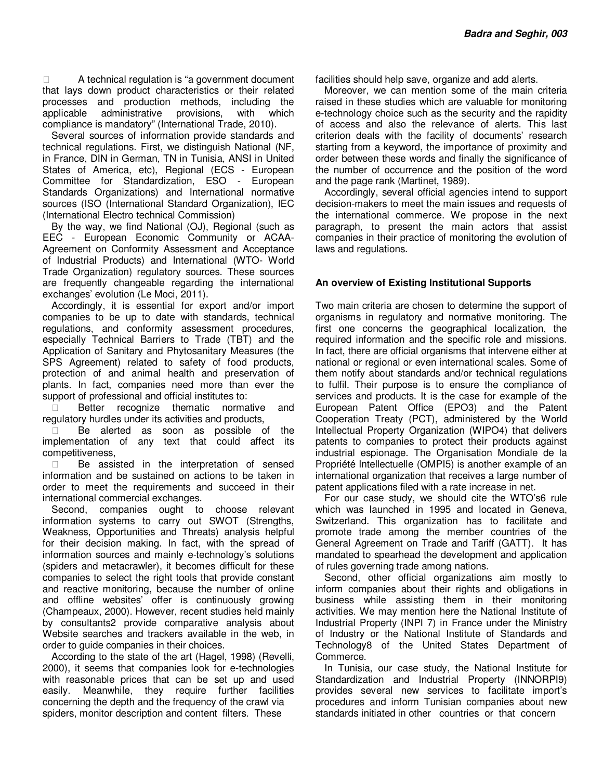A technical regulation is "a government document that lays down product characteristics or their related processes and production methods, including the applicable administrative provisions, with which compliance is mandatory" (International Trade, 2010).

Several sources of information provide standards and technical regulations. First, we distinguish National (NF, in France, DIN in German, TN in Tunisia, ANSI in United States of America, etc), Regional (ECS - European Committee for Standardization, ESO - European Standards Organizations) and International normative sources (ISO (International Standard Organization), IEC (International Electro technical Commission)

By the way, we find National (OJ), Regional (such as EEC - European Economic Community or ACAA-Agreement on Conformity Assessment and Acceptance of Industrial Products) and International (WTO- World Trade Organization) regulatory sources. These sources are frequently changeable regarding the international exchanges' evolution (Le Moci, 2011).

Accordingly, it is essential for export and/or import companies to be up to date with standards, technical regulations, and conformity assessment procedures, especially Technical Barriers to Trade (TBT) and the Application of Sanitary and Phytosanitary Measures (the SPS Agreement) related to safety of food products, protection of and animal health and preservation of plants. In fact, companies need more than ever the support of professional and official institutes to:

 Better recognize thematic normative and regulatory hurdles under its activities and products,

 Be alerted as soon as possible of the implementation of any text that could affect its competitiveness,

 Be assisted in the interpretation of sensed information and be sustained on actions to be taken in order to meet the requirements and succeed in their international commercial exchanges.

Second, companies ought to choose relevant information systems to carry out SWOT (Strengths, Weakness, Opportunities and Threats) analysis helpful for their decision making. In fact, with the spread of information sources and mainly e-technology's solutions (spiders and metacrawler), it becomes difficult for these companies to select the right tools that provide constant and reactive monitoring, because the number of online and offline websites' offer is continuously growing (Champeaux, 2000). However, recent studies held mainly by consultants2 provide comparative analysis about Website searches and trackers available in the web, in order to guide companies in their choices.

According to the state of the art (Hagel, 1998) (Revelli, 2000), it seems that companies look for e-technologies with reasonable prices that can be set up and used easily. Meanwhile, they require further facilities concerning the depth and the frequency of the crawl via spiders, monitor description and content filters. These

facilities should help save, organize and add alerts.

Moreover, we can mention some of the main criteria raised in these studies which are valuable for monitoring e-technology choice such as the security and the rapidity of access and also the relevance of alerts. This last criterion deals with the facility of documents' research starting from a keyword, the importance of proximity and order between these words and finally the significance of the number of occurrence and the position of the word and the page rank (Martinet, 1989).

Accordingly, several official agencies intend to support decision-makers to meet the main issues and requests of the international commerce. We propose in the next paragraph, to present the main actors that assist companies in their practice of monitoring the evolution of laws and regulations.

## **An overview of Existing Institutional Supports**

Two main criteria are chosen to determine the support of organisms in regulatory and normative monitoring. The first one concerns the geographical localization, the required information and the specific role and missions. In fact, there are official organisms that intervene either at national or regional or even international scales. Some of them notify about standards and/or technical regulations to fulfil. Their purpose is to ensure the compliance of services and products. It is the case for example of the European Patent Office (EPO3) and the Patent Cooperation Treaty (PCT), administered by the World Intellectual Property Organization (WIPO4) that delivers patents to companies to protect their products against industrial espionage. The Organisation Mondiale de la Propriété Intellectuelle (OMPI5) is another example of an international organization that receives a large number of patent applications filed with a rate increase in net.

For our case study, we should cite the WTO's6 rule which was launched in 1995 and located in Geneva, Switzerland. This organization has to facilitate and promote trade among the member countries of the General Agreement on Trade and Tariff (GATT). It has mandated to spearhead the development and application of rules governing trade among nations.

Second, other official organizations aim mostly to inform companies about their rights and obligations in business while assisting them in their monitoring activities. We may mention here the National Institute of Industrial Property (INPI 7) in France under the Ministry of Industry or the National Institute of Standards and Technology8 of the United States Department of Commerce.

In Tunisia, our case study, the National Institute for Standardization and Industrial Property (INNORPI9) provides several new services to facilitate import's procedures and inform Tunisian companies about new standards initiated in other countries or that concern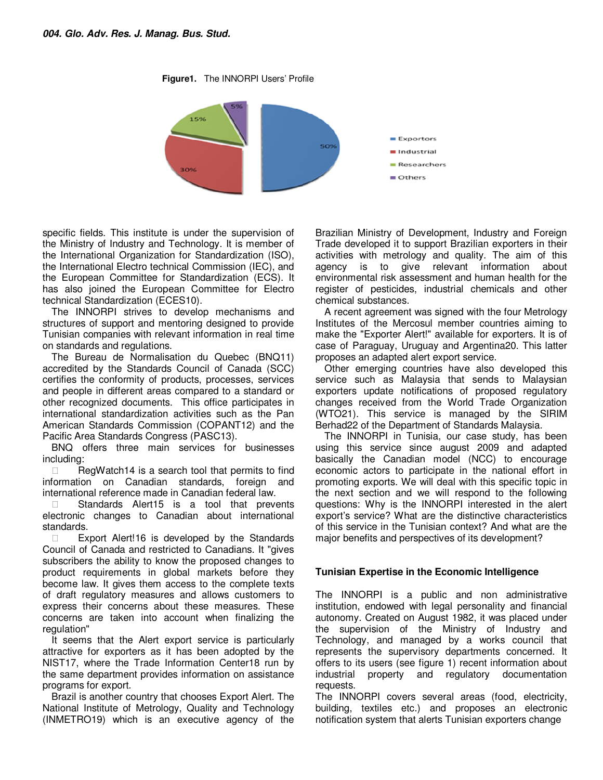**Figure1.** The INNORPI Users' Profile



specific fields. This institute is under the supervision of the Ministry of Industry and Technology. It is member of the International Organization for Standardization (ISO), the International Electro technical Commission (IEC), and the European Committee for Standardization (ECS). It has also joined the European Committee for Electro technical Standardization (ECES10).

The INNORPI strives to develop mechanisms and structures of support and mentoring designed to provide Tunisian companies with relevant information in real time on standards and regulations.

The Bureau de Normalisation du Quebec (BNQ11) accredited by the Standards Council of Canada (SCC) certifies the conformity of products, processes, services and people in different areas compared to a standard or other recognized documents. This office participates in international standardization activities such as the Pan American Standards Commission (COPANT12) and the Pacific Area Standards Congress (PASC13).

BNQ offers three main services for businesses including:

 RegWatch14 is a search tool that permits to find information on Canadian standards, foreign and international reference made in Canadian federal law.

 Standards Alert15 is a tool that prevents electronic changes to Canadian about international standards.

 Export Alert!16 is developed by the Standards Council of Canada and restricted to Canadians. It "gives subscribers the ability to know the proposed changes to product requirements in global markets before they become law. It gives them access to the complete texts of draft regulatory measures and allows customers to express their concerns about these measures. These concerns are taken into account when finalizing the regulation"

It seems that the Alert export service is particularly attractive for exporters as it has been adopted by the NIST17, where the Trade Information Center18 run by the same department provides information on assistance programs for export.

Brazil is another country that chooses Export Alert. The National Institute of Metrology, Quality and Technology (INMETRO19) which is an executive agency of the Brazilian Ministry of Development, Industry and Foreign Trade developed it to support Brazilian exporters in their activities with metrology and quality. The aim of this agency is to give relevant information about environmental risk assessment and human health for the register of pesticides, industrial chemicals and other chemical substances.

A recent agreement was signed with the four Metrology Institutes of the Mercosul member countries aiming to make the "Exporter Alert!" available for exporters. It is of case of Paraguay, Uruguay and Argentina20. This latter proposes an adapted alert export service.

Other emerging countries have also developed this service such as Malaysia that sends to Malaysian exporters update notifications of proposed regulatory changes received from the World Trade Organization (WTO21). This service is managed by the SIRIM Berhad22 of the Department of Standards Malaysia.

The INNORPI in Tunisia, our case study, has been using this service since august 2009 and adapted basically the Canadian model (NCC) to encourage economic actors to participate in the national effort in promoting exports. We will deal with this specific topic in the next section and we will respond to the following questions: Why is the INNORPI interested in the alert export's service? What are the distinctive characteristics of this service in the Tunisian context? And what are the major benefits and perspectives of its development?

## **Tunisian Expertise in the Economic Intelligence**

The INNORPI is a public and non administrative institution, endowed with legal personality and financial autonomy. Created on August 1982, it was placed under the supervision of the Ministry of Industry and Technology, and managed by a works council that represents the supervisory departments concerned. It offers to its users (see figure 1) recent information about industrial property and regulatory documentation requests.

The INNORPI covers several areas (food, electricity, building, textiles etc.) and proposes an electronic notification system that alerts Tunisian exporters change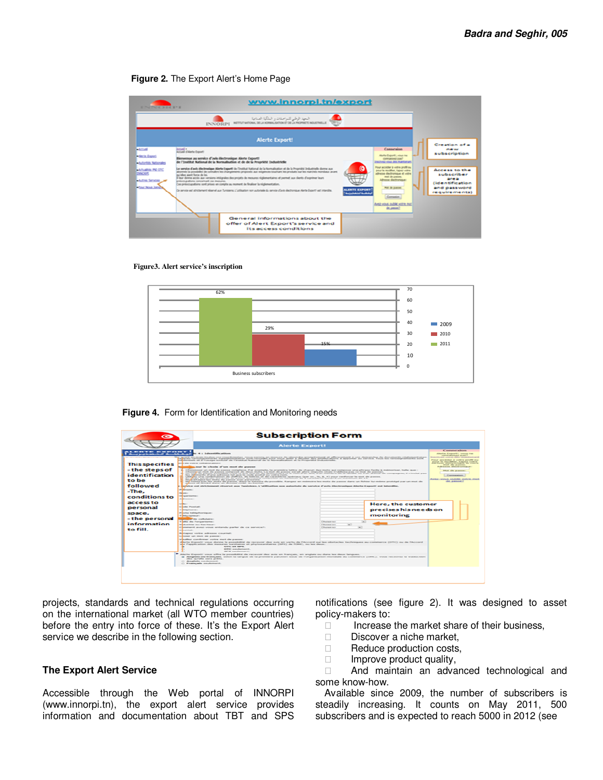#### **Figure 2.** The Export Alert's Home Page

| <b>E PAIDWAY WHAT EFT</b>                                                                                                                                            | www.innorpi.tn/export                                                                                                                                                                                                                                                                                                                                                                                                                                                                                                                                                                                                                                                                                                                                                                                                                                                                                                                                                                                                                                                                                                                                                                                                                                              |                                                                                                                                      |
|----------------------------------------------------------------------------------------------------------------------------------------------------------------------|--------------------------------------------------------------------------------------------------------------------------------------------------------------------------------------------------------------------------------------------------------------------------------------------------------------------------------------------------------------------------------------------------------------------------------------------------------------------------------------------------------------------------------------------------------------------------------------------------------------------------------------------------------------------------------------------------------------------------------------------------------------------------------------------------------------------------------------------------------------------------------------------------------------------------------------------------------------------------------------------------------------------------------------------------------------------------------------------------------------------------------------------------------------------------------------------------------------------------------------------------------------------|--------------------------------------------------------------------------------------------------------------------------------------|
|                                                                                                                                                                      | المعهد الوطني للمواصفات و الملكية الصناعية<br>INNORPI NITH MONUMER ACTIVE SCHOOL AND RELEASED TO                                                                                                                                                                                                                                                                                                                                                                                                                                                                                                                                                                                                                                                                                                                                                                                                                                                                                                                                                                                                                                                                                                                                                                   |                                                                                                                                      |
|                                                                                                                                                                      | Creation of a                                                                                                                                                                                                                                                                                                                                                                                                                                                                                                                                                                                                                                                                                                                                                                                                                                                                                                                                                                                                                                                                                                                                                                                                                                                      |                                                                                                                                      |
| <b>Administration</b><br><b>Marte Export</b><br><b>Autorities Nationales</b><br>Artualities PM OTC<br><b>DONORPE</b><br><b>Autom Services</b><br><b>Par los lied</b> | Connergion<br><b>New Clark Ford</b><br><b>Blatte Except:</b> what he<br>Bienvenue au service d'avis declinatique Alerte Exportit<br><b>FORMULATIONS SURVEY</b><br>de l'Institut National de la Normalisation et de de la Propriété Industrielle<br><b>Inschora vous dis mantunant</b><br>Prour accelebr is waive profil out<br>Le service d'asis illechrasique Allefte Esperti de Tretitut Kational de la Normalization et de la Propriété Industrielle donne aux<br>pour la modèler, tueser votre<br>abonnés la possibilité de contalhe les changements proposés aux exigences bouthant les produits sur les manchés mondiaux avant<br>adverse declinations of units.<br>mainline apert force de los-<br>mult de passes.<br>If my done actin aux versions misigrates des projets de mesures rédementaires et permet aux dients d'exprimer leurs<br>Adverse discoverance:<br>principalists crowball on tworn.<br>Cas présimpations sont prèses en congrès au moment de finaliser la niglementation.<br><b>Rot de passe</b><br>ALLENTE EXPOST<br>Or process and attributional channel year. Turnisms, Curtification new purchasing do remote of auto disclosures at interest and interesting.<br>شهبوا لينهوهمون<br><b>RANZ-WOULLINGTON WOO'R INCO</b><br>de passe? | <b>COMPANY</b><br>subscription<br><b>Access to the</b><br>subscriber<br>$B = B$<br>(identification)<br>and password<br>requirements) |
|                                                                                                                                                                      | General informations about the<br>offer of Alert Export's service and<br>its access conditions                                                                                                                                                                                                                                                                                                                                                                                                                                                                                                                                                                                                                                                                                                                                                                                                                                                                                                                                                                                                                                                                                                                                                                     |                                                                                                                                      |

#### **Figure3. Alert service's inscription**



#### **Figure 4.** Form for Identification and Monitoring needs

projects, standards and technical regulations occurring on the international market (all WTO member countries) before the entry into force of these. It's the Export Alert service we describe in the following section.

#### **The Export Alert Service**

Accessible through the Web portal of INNORPI (www.innorpi.tn), the export alert service provides information and documentation about TBT and SPS notifications (see figure 2). It was designed to asset policy-makers to:

> Increase the market share of their business, Discover a niche market, Reduce production costs, Improve product quality,

 And maintain an advanced technological and some know-how.

Available since 2009, the number of subscribers is steadily increasing. It counts on May 2011, 500 subscribers and is expected to reach 5000 in 2012 (see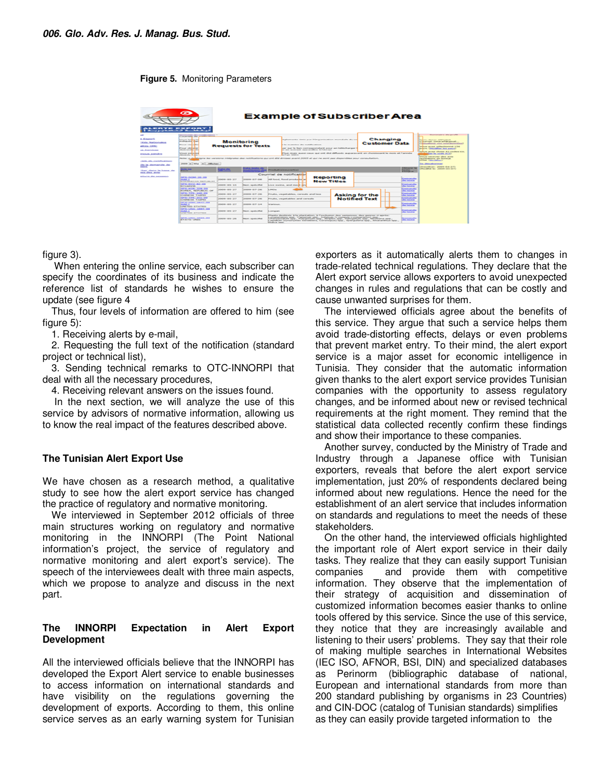#### **Figure 5.** Monitoring Parameters

| œ<br><b>Example of Subscriber Area</b><br><b>ALL REPORTS OF A REPORTS OF</b><br>-----------                                          |                                                                                                                                                                                                                                                                                                                                                                                                                                                                                                                                                           |                                                               |                                  |                                                                                                                                                                                                                                                                                                                                                                                                                                                      |                                                                                                                                                                                                                                                                                                                                                            |                                                                  |                      |  |                                                                           |                                                      |                                                                                                                                                                                                                                                                                                                                                                                                   |  |  |
|--------------------------------------------------------------------------------------------------------------------------------------|-----------------------------------------------------------------------------------------------------------------------------------------------------------------------------------------------------------------------------------------------------------------------------------------------------------------------------------------------------------------------------------------------------------------------------------------------------------------------------------------------------------------------------------------------------------|---------------------------------------------------------------|----------------------------------|------------------------------------------------------------------------------------------------------------------------------------------------------------------------------------------------------------------------------------------------------------------------------------------------------------------------------------------------------------------------------------------------------------------------------------------------------|------------------------------------------------------------------------------------------------------------------------------------------------------------------------------------------------------------------------------------------------------------------------------------------------------------------------------------------------------------|------------------------------------------------------------------|----------------------|--|---------------------------------------------------------------------------|------------------------------------------------------|---------------------------------------------------------------------------------------------------------------------------------------------------------------------------------------------------------------------------------------------------------------------------------------------------------------------------------------------------------------------------------------------------|--|--|
| a dispositi<br><b>Wildless, Persent Instruments</b><br>and other common<br><b>CALL ROOM PARK SERVICE</b><br><b>Painter Brownship</b> | Conservate da recebe atom a<br>cally advanced to the<br>William Strawer<br><b>Monitoring</b><br><b>Worldwarehouse of the Council</b><br>French vindagens<br><b>Requests for Texts</b><br><b>Provide controlled bar</b><br>cheese printing the<br><b>School of Charles Contact Contact Charles</b><br>chrome also in the<br>Dender in dealership last vacance industrialist das conditionings and cost and will alcohour mount (SDES at our car cost and control control of the control of the second control and control of the control of the control of |                                                               |                                  |                                                                                                                                                                                                                                                                                                                                                                                                                                                      | thatterment's down mer l'Oragonia-stien mondate du col<br>The reasonable che recolubicioni.<br>and must be found constructuations of second and hallshift-amount.<br>and state to a subdivision that service there are no se-<br>Thus, more auxiliary cause and not did diffusers augustavant are choosing and be more of Cannelis<br>a if were installed. |                                                                  |                      |  | Changing<br><b>Customer Data</b>                                          |                                                      | Determines nearest sides manually<br><b>Dealers: Campus sets automat</b><br>Comment conservations at-<br>Genetician and consideration<br><b>WELL BURN EDGESTERING ERR</b><br>police, (Monthlan larg purch)<br>and and controls of the conduct of the second second<br>Moor be counter in this<br>attracts constraints in a control street<br>to concellance and Australian<br>better convenience. |  |  |
| technically eventually related<br>the lis chomastulle che<br><b><i><u>PARKER</u></i></b><br>House Machine the Business offer.        | pone in Adapt in 1 Adaptator<br><b>Call of Levinger Text</b><br><b>College Street</b><br>Total Proposition State President<br><b>Security</b><br>--<br><b>CANADA CANADA CANADA</b>                                                                                                                                                                                                                                                                                                                                                                        |                                                               |                                  |                                                                                                                                                                                                                                                                                                                                                                                                                                                      |                                                                                                                                                                                                                                                                                                                                                            |                                                                  |                      |  |                                                                           |                                                      | <b>Start Library and Contractors'</b><br><b>Responsibility Debates Ave. 2010</b><br>Commentatives Dent (2000) (exclusively (7) :                                                                                                                                                                                                                                                                  |  |  |
| entra cibera, araba-<br><b>Milliard Ave., And Avenue Ave.</b>                                                                        | Courriel de notification                                                                                                                                                                                                                                                                                                                                                                                                                                                                                                                                  |                                                               |                                  |                                                                                                                                                                                                                                                                                                                                                                                                                                                      |                                                                                                                                                                                                                                                                                                                                                            |                                                                  |                      |  |                                                                           |                                                      |                                                                                                                                                                                                                                                                                                                                                                                                   |  |  |
|                                                                                                                                      | <b>CAPITO STATISTICS, 2002 STATE</b><br><b>Market Little</b><br><b>STATISTICS/INSTALL CARDS STATISTICS, INC.</b>                                                                                                                                                                                                                                                                                                                                                                                                                                          | probabile care and                                            | presidents additive stress       |                                                                                                                                                                                                                                                                                                                                                                                                                                                      | Reporting<br>and Housek, Sound agreed and a<br><b>New Titles</b>                                                                                                                                                                                                                                                                                           |                                                                  |                      |  |                                                                           | <b>Committee candidate</b><br><b>Ale Excellen</b>    |                                                                                                                                                                                                                                                                                                                                                                                                   |  |  |
|                                                                                                                                      | <b>CONSULTATION IN A 1979</b><br><b>With Support Forms</b>                                                                                                                                                                                                                                                                                                                                                                                                                                                                                                | and content of the con-                                       | <b>Parent restate (Pare</b>      |                                                                                                                                                                                                                                                                                                                                                                                                                                                      |                                                                                                                                                                                                                                                                                                                                                            | hings stating. and most and                                      |                      |  |                                                                           | <b>Contract May</b><br><b><i><u>Distance</u></i></b> |                                                                                                                                                                                                                                                                                                                                                                                                   |  |  |
|                                                                                                                                      | <b>NOTE: IN COST - 242181-8291</b><br>and send on the contracts and control                                                                                                                                                                                                                                                                                                                                                                                                                                                                               | postered that the                                             | powers and it was                | <b>Senatives</b>                                                                                                                                                                                                                                                                                                                                                                                                                                     |                                                                                                                                                                                                                                                                                                                                                            |                                                                  |                      |  |                                                                           | <b>Contractor</b><br>the books.                      |                                                                                                                                                                                                                                                                                                                                                                                                   |  |  |
|                                                                                                                                      | <b>SIFTEN: TITTEN ARMS (STR.)</b><br>CHERAL SEL TAGINER                                                                                                                                                                                                                                                                                                                                                                                                                                                                                                   | <b>CONSULTANT CARDS IN THE</b><br><b>DOMESTIC LINES, SEAL</b> |                                  |                                                                                                                                                                                                                                                                                                                                                                                                                                                      |                                                                                                                                                                                                                                                                                                                                                            | For the Contract shifted contractly would be a<br>Asking for the |                      |  |                                                                           | <b>Sim Secret as</b>                                 |                                                                                                                                                                                                                                                                                                                                                                                                   |  |  |
|                                                                                                                                      | <b>NUMBER OF STREET, SUITE AND ARREST</b><br>CARDINAL SALE TARRINGS                                                                                                                                                                                                                                                                                                                                                                                                                                                                                       | <b>COMPANY CREW COTT</b>                                      | <b>ANTIQUORE ARCHITECTS</b>      |                                                                                                                                                                                                                                                                                                                                                                                                                                                      | Crossing, how maintaining and contracts.                                                                                                                                                                                                                                                                                                                   |                                                                  | <b>Notified Text</b> |  | <b><i><u>CONTRACTORS</u></i></b><br><b><i><u>Allen Kansas Can</u></i></b> |                                                      |                                                                                                                                                                                                                                                                                                                                                                                                   |  |  |
|                                                                                                                                      | <b>CARSO KUSSA, ISBN 7-888</b><br><b>CALLED BY</b><br>L. Mary Training Hartford, Training                                                                                                                                                                                                                                                                                                                                                                                                                                                                 | Detection (SHE) 24 P                                          | provides visite to at            | <b>Note through a</b>                                                                                                                                                                                                                                                                                                                                                                                                                                | <b>Company Pre</b>                                                                                                                                                                                                                                                                                                                                         |                                                                  |                      |  |                                                                           |                                                      |                                                                                                                                                                                                                                                                                                                                                                                                   |  |  |
|                                                                                                                                      | CAPITOL FLATON - CLASSIFIED INC.<br><b>CALLED BY</b><br>in state is senting country and the co-                                                                                                                                                                                                                                                                                                                                                                                                                                                           | 2006049-18161-213F                                            | PRINT, INDIAN IRVIN              | <b>Kingmont</b>                                                                                                                                                                                                                                                                                                                                                                                                                                      |                                                                                                                                                                                                                                                                                                                                                            |                                                                  |                      |  |                                                                           | <b><i><u>Property</u></i></b>                        |                                                                                                                                                                                                                                                                                                                                                                                                   |  |  |
|                                                                                                                                      | SPELARIA, SEDIL-RE<br><b>Mind of Alberta Commercial</b>                                                                                                                                                                                                                                                                                                                                                                                                                                                                                                   | $2000000 - 1815 - 2000$                                       | Philadelphia respective contract | Planta deatedle à la plantation, à l'exclusion des semances, des genres o après-<br>A STOREST BELOW - BERELL- IT CONTROLLED INCHES, THORNEY OF CONTRACTS & ASTEROIDE SECOND-<br>Cheeringstodburn tape-, Pollugenhum rapp-, micration rapp-, Philosophican sang-, Neustleans rapp-,<br><b>The County Dist</b><br>Lexistanti (successivation) Secundary & Commissional base- Security-discuss son- detection artificati sens-<br>bet allowing manager. |                                                                                                                                                                                                                                                                                                                                                            |                                                                  |                      |  |                                                                           |                                                      |                                                                                                                                                                                                                                                                                                                                                                                                   |  |  |

figure 3).

 When entering the online service, each subscriber can specify the coordinates of its business and indicate the reference list of standards he wishes to ensure the update (see figure 4

Thus, four levels of information are offered to him (see figure 5):

1. Receiving alerts by e-mail,

2. Requesting the full text of the notification (standard project or technical list),

3. Sending technical remarks to OTC-INNORPI that deal with all the necessary procedures,

4. Receiving relevant answers on the issues found.

 In the next section, we will analyze the use of this service by advisors of normative information, allowing us to know the real impact of the features described above.

## **The Tunisian Alert Export Use**

We have chosen as a research method, a qualitative study to see how the alert export service has changed the practice of regulatory and normative monitoring.

We interviewed in September 2012 officials of three main structures working on regulatory and normative monitoring in the INNORPI (The Point National information's project, the service of regulatory and normative monitoring and alert export's service). The speech of the interviewees dealt with three main aspects, which we propose to analyze and discuss in the next part.

## **The INNORPI Expectation in Alert Export Development**

All the interviewed officials believe that the INNORPI has developed the Export Alert service to enable businesses to access information on international standards and have visibility on the regulations governing the development of exports. According to them, this online service serves as an early warning system for Tunisian exporters as it automatically alerts them to changes in trade-related technical regulations. They declare that the Alert export service allows exporters to avoid unexpected changes in rules and regulations that can be costly and cause unwanted surprises for them.

The interviewed officials agree about the benefits of this service. They argue that such a service helps them avoid trade-distorting effects, delays or even problems that prevent market entry. To their mind, the alert export service is a major asset for economic intelligence in Tunisia. They consider that the automatic information given thanks to the alert export service provides Tunisian companies with the opportunity to assess regulatory changes, and be informed about new or revised technical requirements at the right moment. They remind that the statistical data collected recently confirm these findings and show their importance to these companies.

Another survey, conducted by the Ministry of Trade and Industry through a Japanese office with Tunisian exporters, reveals that before the alert export service implementation, just 20% of respondents declared being informed about new regulations. Hence the need for the establishment of an alert service that includes information on standards and regulations to meet the needs of these stakeholders.

On the other hand, the interviewed officials highlighted the important role of Alert export service in their daily tasks. They realize that they can easily support Tunisian companies and provide them with competitive information. They observe that the implementation of their strategy of acquisition and dissemination of customized information becomes easier thanks to online tools offered by this service. Since the use of this service, they notice that they are increasingly available and listening to their users' problems. They say that their role of making multiple searches in International Websites (IEC ISO, AFNOR, BSI, DIN) and specialized databases as Perinorm (bibliographic database of national, European and international standards from more than 200 standard publishing by organisms in 23 Countries) and CIN-DOC (catalog of Tunisian standards) simplifies as they can easily provide targeted information to the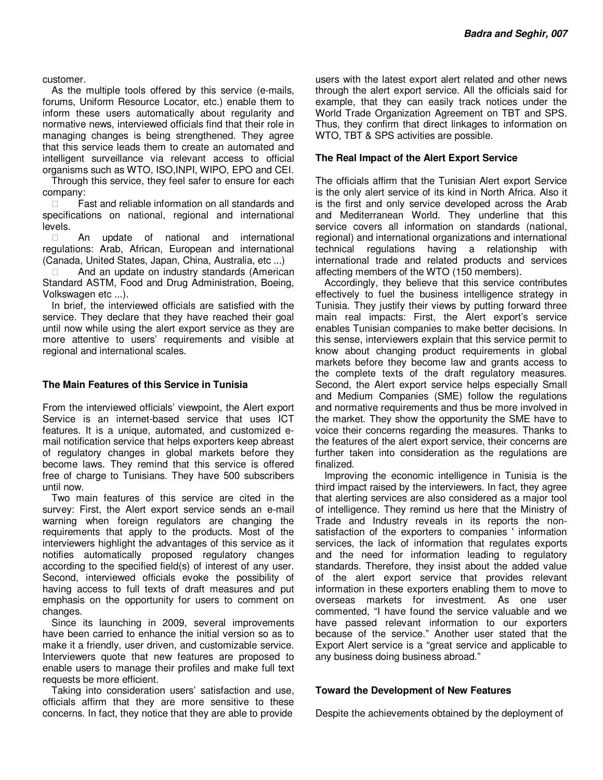customer.

As the multiple tools offered by this service (e-mails, forums, Uniform Resource Locator, etc.) enable them to inform these users automatically about regularity and normative news, interviewed officials find that their role in managing changes is being strengthened. They agree that this service leads them to create an automated and intelligent surveillance via relevant access to official organisms such as WTO, ISO,INPI, WIPO, EPO and CEI.

Through this service, they feel safer to ensure for each company:

 Fast and reliable information on all standards and specifications on national, regional and international levels.

 An update of national and international regulations: Arab, African, European and international (Canada, United States, Japan, China, Australia, etc ...)

 And an update on industry standards (American Standard ASTM, Food and Drug Administration, Boeing, Volkswagen etc ...).

In brief, the interviewed officials are satisfied with the service. They declare that they have reached their goal until now while using the alert export service as they are more attentive to users' requirements and visible at regional and international scales.

## **The Main Features of this Service in Tunisia**

From the interviewed officials' viewpoint, the Alert export Service is an internet-based service that uses ICT features. It is a unique, automated, and customized email notification service that helps exporters keep abreast of regulatory changes in global markets before they become laws. They remind that this service is offered free of charge to Tunisians. They have 500 subscribers until now.

Two main features of this service are cited in the survey: First, the Alert export service sends an e-mail warning when foreign regulators are changing the requirements that apply to the products. Most of the interviewers highlight the advantages of this service as it notifies automatically proposed regulatory changes according to the specified field(s) of interest of any user. Second, interviewed officials evoke the possibility of having access to full texts of draft measures and put emphasis on the opportunity for users to comment on changes.

Since its launching in 2009, several improvements have been carried to enhance the initial version so as to make it a friendly, user driven, and customizable service. Interviewers quote that new features are proposed to enable users to manage their profiles and make full text requests be more efficient.

Taking into consideration users' satisfaction and use, officials affirm that they are more sensitive to these concerns. In fact, they notice that they are able to provide users with the latest export alert related and other news through the alert export service. All the officials said for example, that they can easily track notices under the World Trade Organization Agreement on TBT and SPS. Thus, they confirm that direct linkages to information on WTO, TBT & SPS activities are possible.

#### **The Real Impact of the Alert Export Service**

The officials affirm that the Tunisian Alert export Service is the only alert service of its kind in North Africa. Also it is the first and only service developed across the Arab and Mediterranean World. They underline that this service covers all information on standards (national, regional) and international organizations and international technical regulations having a relationship with international trade and related products and services affecting members of the WTO (150 members).

Accordingly, they believe that this service contributes effectively to fuel the business intelligence strategy in Tunisia. They justify their views by putting forward three main real impacts: First, the Alert export's service enables Tunisian companies to make better decisions. In this sense, interviewers explain that this service permit to know about changing product requirements in global markets before they become law and grants access to the complete texts of the draft regulatory measures. Second, the Alert export service helps especially Small and Medium Companies (SME) follow the regulations and normative requirements and thus be more involved in the market. They show the opportunity the SME have to voice their concerns regarding the measures. Thanks to the features of the alert export service, their concerns are further taken into consideration as the regulations are finalized.

Improving the economic intelligence in Tunisia is the third impact raised by the interviewers. In fact, they agree that alerting services are also considered as a major tool of intelligence. They remind us here that the Ministry of Trade and Industry reveals in its reports the nonsatisfaction of the exporters to companies ' information services, the lack of information that regulates exports and the need for information leading to regulatory standards. Therefore, they insist about the added value of the alert export service that provides relevant information in these exporters enabling them to move to overseas markets for investment. As one user commented, "I have found the service valuable and we have passed relevant information to our exporters because of the service." Another user stated that the Export Alert service is a "great service and applicable to any business doing business abroad."

#### **Toward the Development of New Features**

Despite the achievements obtained by the deployment of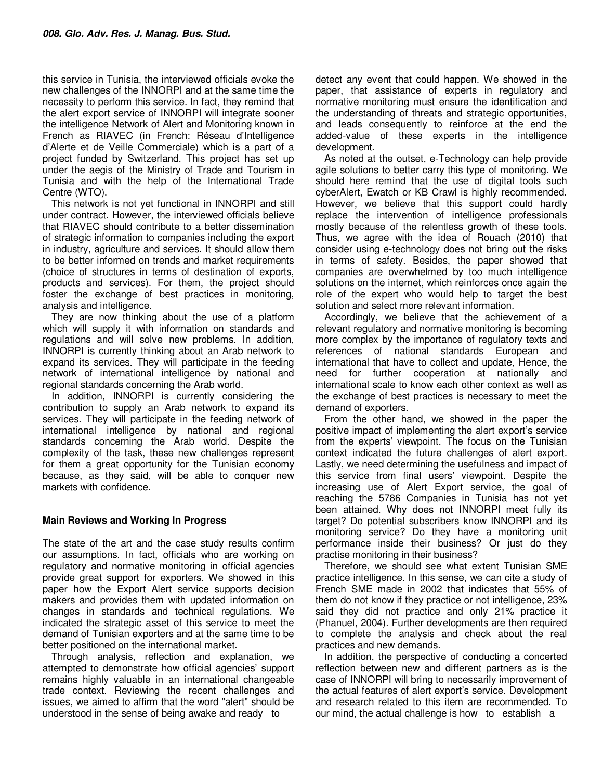this service in Tunisia, the interviewed officials evoke the new challenges of the INNORPI and at the same time the necessity to perform this service. In fact, they remind that the alert export service of INNORPI will integrate sooner the intelligence Network of Alert and Monitoring known in French as RIAVEC (in French: Réseau d'Intelligence d'Alerte et de Veille Commerciale) which is a part of a project funded by Switzerland. This project has set up under the aegis of the Ministry of Trade and Tourism in Tunisia and with the help of the International Trade Centre (WTO).

This network is not yet functional in INNORPI and still under contract. However, the interviewed officials believe that RIAVEC should contribute to a better dissemination of strategic information to companies including the export in industry, agriculture and services. It should allow them to be better informed on trends and market requirements (choice of structures in terms of destination of exports, products and services). For them, the project should foster the exchange of best practices in monitoring, analysis and intelligence.

They are now thinking about the use of a platform which will supply it with information on standards and regulations and will solve new problems. In addition, INNORPI is currently thinking about an Arab network to expand its services. They will participate in the feeding network of international intelligence by national and regional standards concerning the Arab world.

In addition, INNORPI is currently considering the contribution to supply an Arab network to expand its services. They will participate in the feeding network of international intelligence by national and regional standards concerning the Arab world. Despite the complexity of the task, these new challenges represent for them a great opportunity for the Tunisian economy because, as they said, will be able to conquer new markets with confidence.

## **Main Reviews and Working In Progress**

The state of the art and the case study results confirm our assumptions. In fact, officials who are working on regulatory and normative monitoring in official agencies provide great support for exporters. We showed in this paper how the Export Alert service supports decision makers and provides them with updated information on changes in standards and technical regulations. We indicated the strategic asset of this service to meet the demand of Tunisian exporters and at the same time to be better positioned on the international market.

Through analysis, reflection and explanation, we attempted to demonstrate how official agencies' support remains highly valuable in an international changeable trade context. Reviewing the recent challenges and issues, we aimed to affirm that the word "alert" should be understood in the sense of being awake and ready to

detect any event that could happen. We showed in the paper, that assistance of experts in regulatory and normative monitoring must ensure the identification and the understanding of threats and strategic opportunities, and leads consequently to reinforce at the end the added-value of these experts in the intelligence development.

As noted at the outset, e-Technology can help provide agile solutions to better carry this type of monitoring. We should here remind that the use of digital tools such cyberAlert, Ewatch or KB Crawl is highly recommended. However, we believe that this support could hardly replace the intervention of intelligence professionals mostly because of the relentless growth of these tools. Thus, we agree with the idea of Rouach (2010) that consider using e-technology does not bring out the risks in terms of safety. Besides, the paper showed that companies are overwhelmed by too much intelligence solutions on the internet, which reinforces once again the role of the expert who would help to target the best solution and select more relevant information.

Accordingly, we believe that the achievement of a relevant regulatory and normative monitoring is becoming more complex by the importance of regulatory texts and references of national standards European and international that have to collect and update, Hence, the need for further cooperation at nationally and international scale to know each other context as well as the exchange of best practices is necessary to meet the demand of exporters.

From the other hand, we showed in the paper the positive impact of implementing the alert export's service from the experts' viewpoint. The focus on the Tunisian context indicated the future challenges of alert export. Lastly, we need determining the usefulness and impact of this service from final users' viewpoint. Despite the increasing use of Alert Export service, the goal of reaching the 5786 Companies in Tunisia has not yet been attained. Why does not INNORPI meet fully its target? Do potential subscribers know INNORPI and its monitoring service? Do they have a monitoring unit performance inside their business? Or just do they practise monitoring in their business?

Therefore, we should see what extent Tunisian SME practice intelligence. In this sense, we can cite a study of French SME made in 2002 that indicates that 55% of them do not know if they practice or not intelligence, 23% said they did not practice and only 21% practice it (Phanuel, 2004). Further developments are then required to complete the analysis and check about the real practices and new demands.

In addition, the perspective of conducting a concerted reflection between new and different partners as is the case of INNORPI will bring to necessarily improvement of the actual features of alert export's service. Development and research related to this item are recommended. To our mind, the actual challenge is how to establish a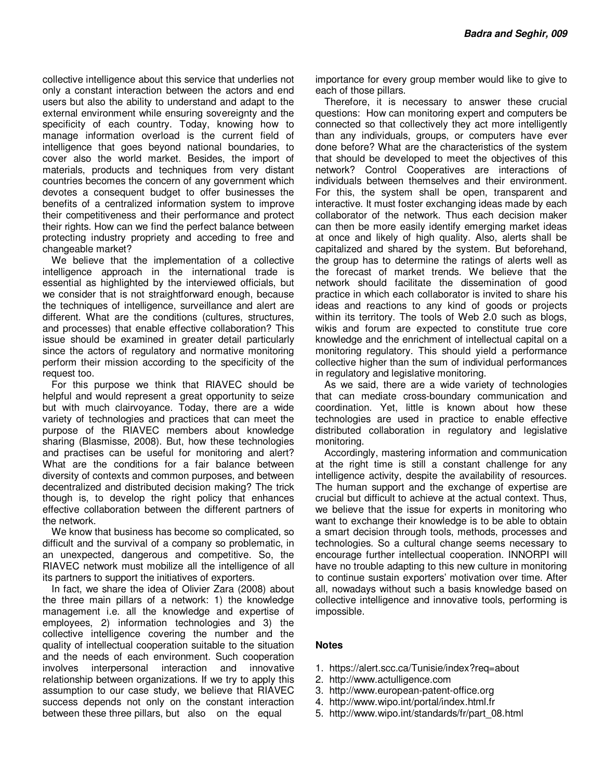collective intelligence about this service that underlies not only a constant interaction between the actors and end users but also the ability to understand and adapt to the external environment while ensuring sovereignty and the specificity of each country. Today, knowing how to manage information overload is the current field of intelligence that goes beyond national boundaries, to cover also the world market. Besides, the import of materials, products and techniques from very distant countries becomes the concern of any government which devotes a consequent budget to offer businesses the benefits of a centralized information system to improve their competitiveness and their performance and protect their rights. How can we find the perfect balance between protecting industry propriety and acceding to free and changeable market?

We believe that the implementation of a collective intelligence approach in the international trade is essential as highlighted by the interviewed officials, but we consider that is not straightforward enough, because the techniques of intelligence, surveillance and alert are different. What are the conditions (cultures, structures, and processes) that enable effective collaboration? This issue should be examined in greater detail particularly since the actors of regulatory and normative monitoring perform their mission according to the specificity of the request too.

For this purpose we think that RIAVEC should be helpful and would represent a great opportunity to seize but with much clairvoyance. Today, there are a wide variety of technologies and practices that can meet the purpose of the RIAVEC members about knowledge sharing (Blasmisse, 2008). But, how these technologies and practises can be useful for monitoring and alert? What are the conditions for a fair balance between diversity of contexts and common purposes, and between decentralized and distributed decision making? The trick though is, to develop the right policy that enhances effective collaboration between the different partners of the network.

We know that business has become so complicated, so difficult and the survival of a company so problematic, in an unexpected, dangerous and competitive. So, the RIAVEC network must mobilize all the intelligence of all its partners to support the initiatives of exporters.

In fact, we share the idea of Olivier Zara (2008) about the three main pillars of a network: 1) the knowledge management i.e. all the knowledge and expertise of employees, 2) information technologies and 3) the collective intelligence covering the number and the quality of intellectual cooperation suitable to the situation and the needs of each environment. Such cooperation involves interpersonal interaction and innovative relationship between organizations. If we try to apply this assumption to our case study, we believe that RIAVEC success depends not only on the constant interaction between these three pillars, but also on the equal

importance for every group member would like to give to each of those pillars.

Therefore, it is necessary to answer these crucial questions: How can monitoring expert and computers be connected so that collectively they act more intelligently than any individuals, groups, or computers have ever done before? What are the characteristics of the system that should be developed to meet the objectives of this network? Control Cooperatives are interactions of individuals between themselves and their environment. For this, the system shall be open, transparent and interactive. It must foster exchanging ideas made by each collaborator of the network. Thus each decision maker can then be more easily identify emerging market ideas at once and likely of high quality. Also, alerts shall be capitalized and shared by the system. But beforehand, the group has to determine the ratings of alerts well as the forecast of market trends. We believe that the network should facilitate the dissemination of good practice in which each collaborator is invited to share his ideas and reactions to any kind of goods or projects within its territory. The tools of Web 2.0 such as blogs, wikis and forum are expected to constitute true core knowledge and the enrichment of intellectual capital on a monitoring regulatory. This should yield a performance collective higher than the sum of individual performances in regulatory and legislative monitoring.

As we said, there are a wide variety of technologies that can mediate cross-boundary communication and coordination. Yet, little is known about how these technologies are used in practice to enable effective distributed collaboration in regulatory and legislative monitoring.

Accordingly, mastering information and communication at the right time is still a constant challenge for any intelligence activity, despite the availability of resources. The human support and the exchange of expertise are crucial but difficult to achieve at the actual context. Thus, we believe that the issue for experts in monitoring who want to exchange their knowledge is to be able to obtain a smart decision through tools, methods, processes and technologies. So a cultural change seems necessary to encourage further intellectual cooperation. INNORPI will have no trouble adapting to this new culture in monitoring to continue sustain exporters' motivation over time. After all, nowadays without such a basis knowledge based on collective intelligence and innovative tools, performing is impossible.

## **Notes**

- 1. https://alert.scc.ca/Tunisie/index?req=about
- 2. http://www.actulligence.com
- 3. http://www.european-patent-office.org
- 4. http://www.wipo.int/portal/index.html.fr
- 5. http://www.wipo.int/standards/fr/part\_08.html